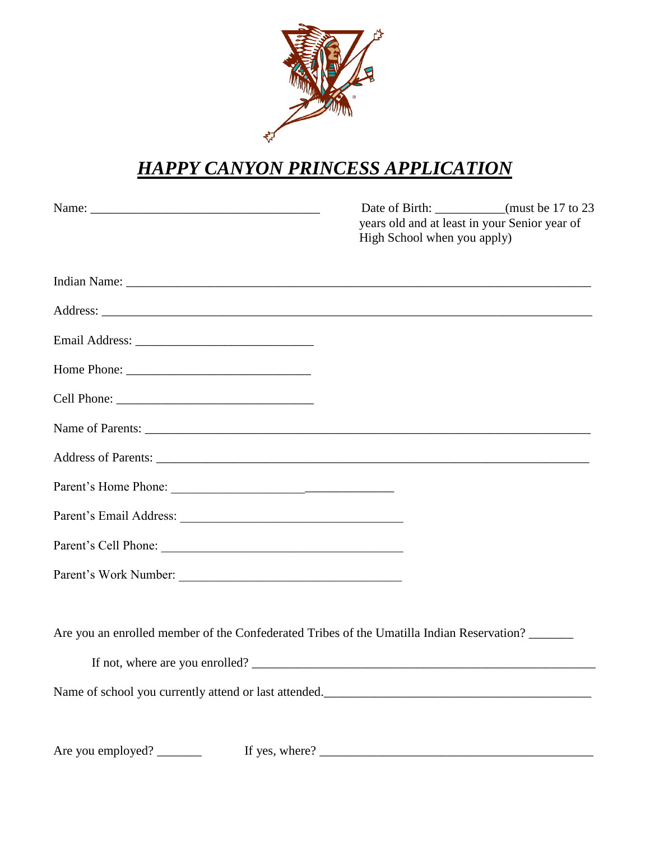

## *HAPPY CANYON PRINCESS APPLICATION*

| Name:                                                                                     | Date of Birth: __________(must be 17 to 23<br>years old and at least in your Senior year of<br>High School when you apply) |
|-------------------------------------------------------------------------------------------|----------------------------------------------------------------------------------------------------------------------------|
|                                                                                           |                                                                                                                            |
|                                                                                           |                                                                                                                            |
|                                                                                           |                                                                                                                            |
|                                                                                           |                                                                                                                            |
|                                                                                           |                                                                                                                            |
|                                                                                           |                                                                                                                            |
|                                                                                           |                                                                                                                            |
|                                                                                           |                                                                                                                            |
|                                                                                           |                                                                                                                            |
|                                                                                           |                                                                                                                            |
| Parent's Work Number:                                                                     |                                                                                                                            |
| Are you an enrolled member of the Confederated Tribes of the Umatilla Indian Reservation? |                                                                                                                            |
|                                                                                           | If not, where are you enrolled?                                                                                            |
|                                                                                           | Name of school you currently attend or last attended.                                                                      |
|                                                                                           |                                                                                                                            |

Are you employed? \_\_\_\_\_\_\_ If yes, where? \_\_\_\_\_\_\_\_\_\_\_\_\_\_\_\_\_\_\_\_\_\_\_\_\_\_\_\_\_\_\_\_\_\_\_\_\_\_\_\_\_\_\_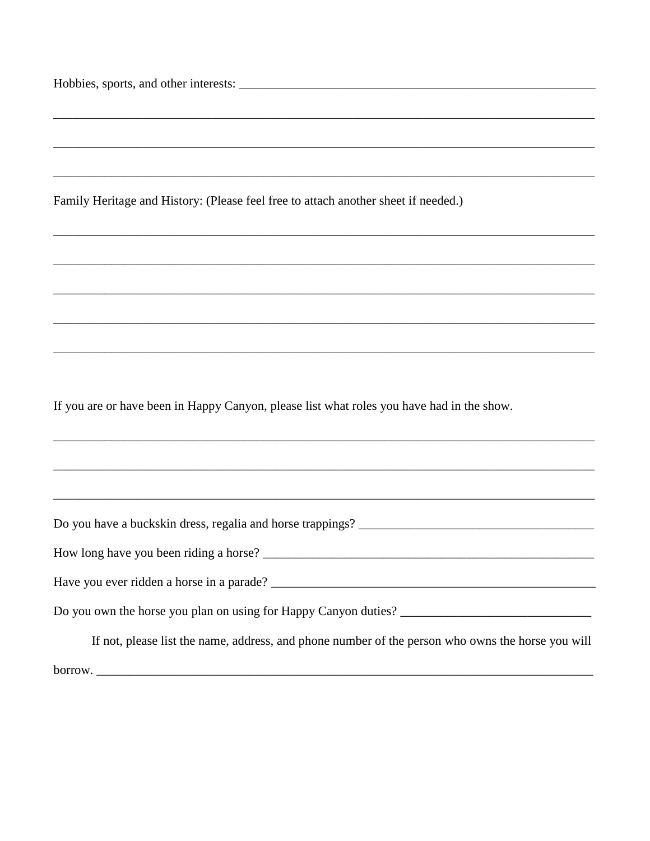| ,我们也不能在这里的人,我们也不能在这里的人,我们也不能在这里的人,我们也不能在这里的人,我们也不能在这里的人,我们也不能在这里的人,我们也不能在这里的人,我们也                 |
|---------------------------------------------------------------------------------------------------|
|                                                                                                   |
|                                                                                                   |
| Family Heritage and History: (Please feel free to attach another sheet if needed.)                |
|                                                                                                   |
|                                                                                                   |
|                                                                                                   |
|                                                                                                   |
|                                                                                                   |
| If you are or have been in Happy Canyon, please list what roles you have had in the show.         |
|                                                                                                   |
|                                                                                                   |
|                                                                                                   |
|                                                                                                   |
|                                                                                                   |
|                                                                                                   |
| If not, please list the name, address, and phone number of the person who owns the horse you will |
|                                                                                                   |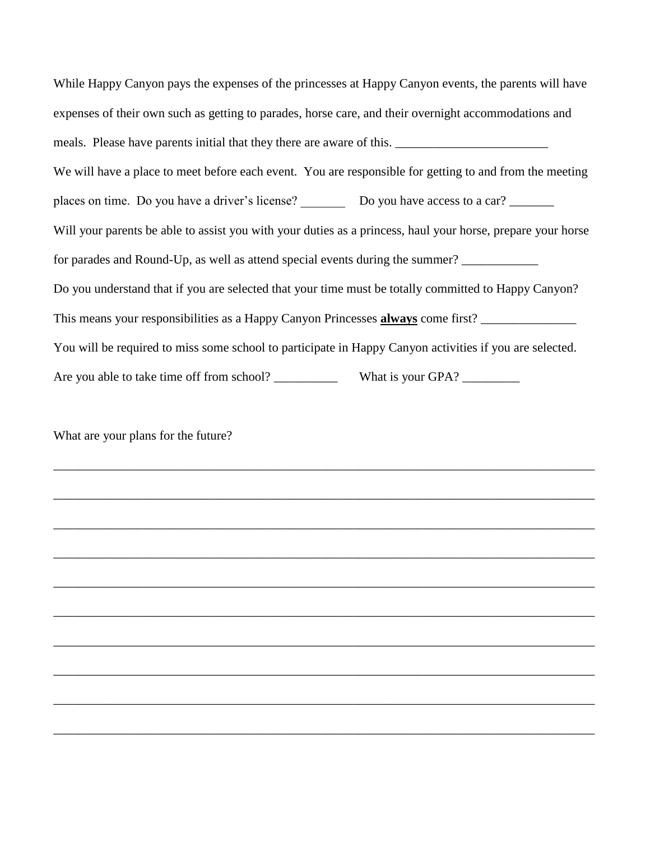While Happy Canyon pays the expenses of the princesses at Happy Canyon events, the parents will have expenses of their own such as getting to parades, horse care, and their overnight accommodations and meals. Please have parents initial that they there are aware of this. We will have a place to meet before each event. You are responsible for getting to and from the meeting places on time. Do you have a driver's license? \_\_\_\_\_\_\_ Do you have access to a car? \_\_\_\_\_\_\_ Will your parents be able to assist you with your duties as a princess, haul your horse, prepare your horse for parades and Round-Up, as well as attend special events during the summer? Do you understand that if you are selected that your time must be totally committed to Happy Canyon? This means your responsibilities as a Happy Canyon Princesses **always** come first? \_\_\_\_\_\_\_\_\_\_\_\_\_\_\_ You will be required to miss some school to participate in Happy Canyon activities if you are selected. Are you able to take time off from school? \_\_\_\_\_\_\_\_\_\_ What is your GPA? \_\_\_\_\_\_\_\_\_

What are your plans for the future?